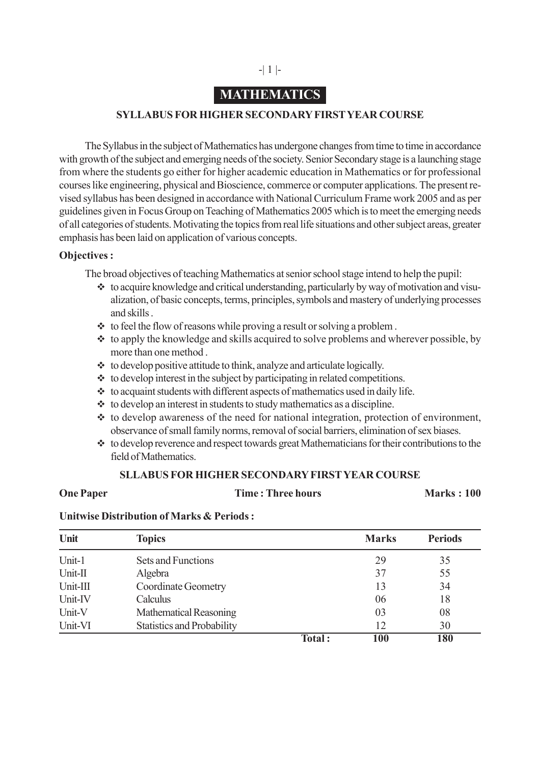# **MATHEMATICS**

## **SYLLABUS FOR HIGHER SECONDARY FIRST YEAR COURSE**

The Syllabus in the subject of Mathematics has undergone changes from time to time in accordance with growth of the subject and emerging needs of the society. Senior Secondary stage is a launching stage from where the students go either for higher academic education in Mathematics or for professional courses like engineering, physical and Bioscience, commerce or computer applications. The present revised syllabus has been designed in accordance with National Curriculum Frame work 2005 and as per guidelines given in Focus Group on Teaching of Mathematics 2005 which is to meet the emerging needs of all categories of students. Motivating the topics from real life situations and other subject areas, greater emphasis has been laid on application of various concepts.

## **Objectives :**

The broad objectives of teaching Mathematics at senior school stage intend to help the pupil:

- $\cdot$  to acquire knowledge and critical understanding, particularly by way of motivation and visualization, of basic concepts, terms, principles, symbols and mastery of underlying processes and skills .
- $\cdot \cdot$  to feel the flow of reasons while proving a result or solving a problem.
- $\cdot$  to apply the knowledge and skills acquired to solve problems and wherever possible, by more than one method .
- $\bullet\bullet$  to develop positive attitude to think, analyze and articulate logically.
- $\cdot \cdot$  to develop interest in the subject by participating in related competitions.
- $\cdot \cdot$  to acquaint students with different aspects of mathematics used in daily life.
- $\cdot \cdot$  to develop an interest in students to study mathematics as a discipline.
- $\cdot$  to develop awareness of the need for national integration, protection of environment, observance of small family norms, removal of social barriers, elimination of sex biases.
- \* to develop reverence and respect towards great Mathematicians for their contributions to the field of Mathematics

## **SLLABUS FOR HIGHER SECONDARY FIRST YEAR COURSE**

**One Paper Time : Three hours Marks : 100** 

## **Unitwise Distribution of Marks & Periods :**

| Unit     | <b>Topics</b>                     |        | <b>Marks</b> | <b>Periods</b> |
|----------|-----------------------------------|--------|--------------|----------------|
| Unit-1   | Sets and Functions                |        | 29           | 35             |
| Unit-II  | Algebra                           |        | 37           | 55             |
| Unit-III | <b>Coordinate Geometry</b>        |        | 13           | 34             |
| Unit-IV  | Calculus                          |        | 06           | 18             |
| Unit-V   | Mathematical Reasoning            |        | 03           | 08             |
| Unit-VI  | <b>Statistics and Probability</b> |        | 12           | 30             |
|          |                                   | Total: | 100          | 180            |

## -| 1 |-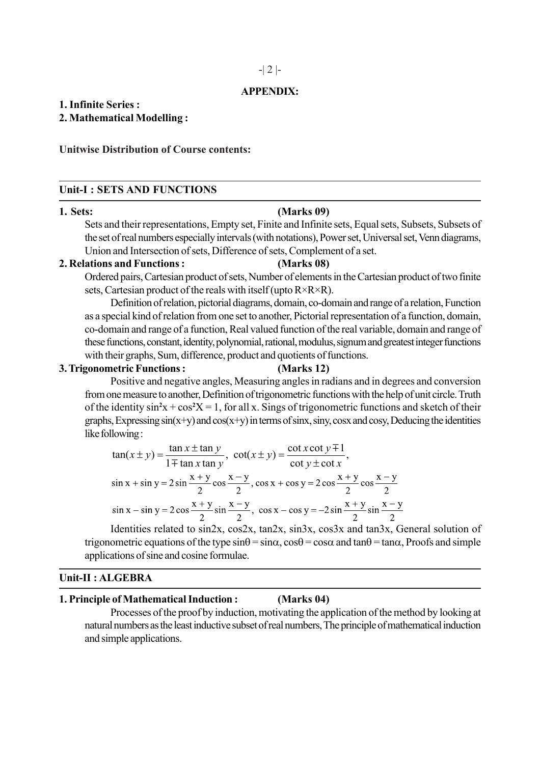### **APPENDIX:**

## **1. Infinite Series :**

## **2. Mathematical Modelling :**

## **Unitwise Distribution of Course contents:**

### **Unit-I : SETS AND FUNCTIONS**

### **1. Sets: (Marks 09)**

Sets and their representations, Empty set, Finite and Infinite sets, Equal sets, Subsets, Subsets of the set of real numbers especially intervals (with notations), Power set, Universal set, Venn diagrams, Union and Intersection of sets, Difference of sets, Complement of a set.

## **2. Relations and Functions : (Marks 08)**

Ordered pairs, Cartesian product of sets, Number of elements in the Cartesian product of two finite sets, Cartesian product of the reals with itself (upto  $R \times R \times R$ ).

Definition of relation, pictorial diagrams, domain, co-domain and range of a relation, Function as a special kind of relation from one set to another, Pictorial representation of a function, domain, co-domain and range of a function, Real valued function of the real variable, domain and range of these functions, constant, identity, polynomial, rational, modulus, signum and greatest integer functions with their graphs, Sum, difference, product and quotients of functions.

## **3. Trigonometric Functions : (Marks 12)**

Positive and negative angles, Measuring angles in radians and in degrees and conversion from one measure to another, Definition of trigonometric functions with the help of unit circle. Truth of the identity  $\sin^2 x + \cos^2 x = 1$ , for all x. Sings of trigonometric functions and sketch of their graphs, Expressing  $sin(x+y)$  and  $cos(x+y)$  in terms of sinx, siny, cosx and cosy, Deducing the identities like following :

$$
\tan(x \pm y) = \frac{\tan x \pm \tan y}{1 \mp \tan x \tan y}, \quad \cot(x \pm y) = \frac{\cot x \cot y \mp 1}{\cot y \pm \cot x},
$$
  
\n
$$
\sin x + \sin y = 2 \sin \frac{x + y}{2} \cos \frac{x - y}{2}, \quad \cos x + \cos y = 2 \cos \frac{x + y}{2} \cos \frac{x - y}{2}
$$
  
\n
$$
\sin x - \sin y = 2 \cos \frac{x + y}{2} \sin \frac{x - y}{2}, \quad \cos x - \cos y = -2 \sin \frac{x + y}{2} \sin \frac{x - y}{2}
$$

Identities related to sin2x, cos2x, tan2x, sin3x, cos3x and tan3x, General solution of trigonometric equations of the type  $\sin\theta = \sin\alpha$ ,  $\cos\theta = \cos\alpha$  and  $\tan\theta = \tan\alpha$ . Proofs and simple applications of sine and cosine formulae.

### **Unit-II : ALGEBRA**

## **1. Principle of Mathematical Induction : (Marks 04)**

Processes of the proof by induction, motivating the application of the method by looking at natural numbers as the least inductive subset of real numbers, The principle of mathematical induction and simple applications.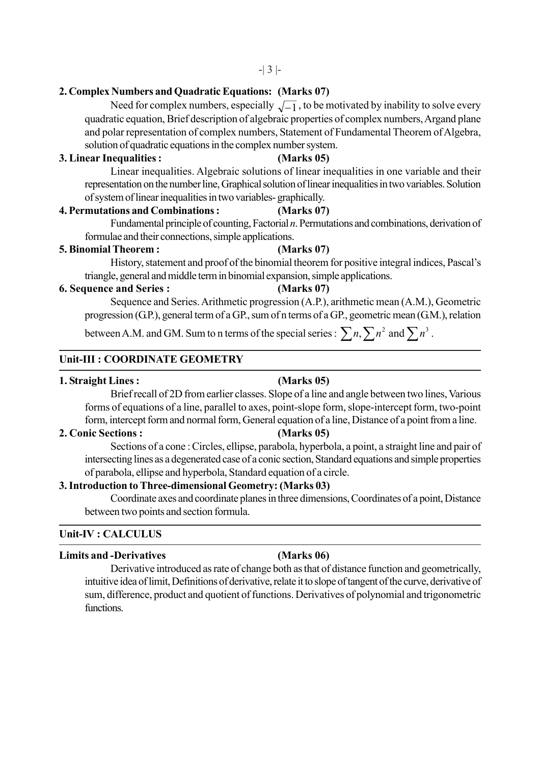## **2. Complex Numbers and Quadratic Equations: (Marks 07)**

Need for complex numbers, especially  $\sqrt{-1}$ , to be motivated by inability to solve every quadratic equation, Brief description of algebraic properties of complex numbers, Argand plane and polar representation of complex numbers, Statement of Fundamental Theorem of Algebra, solution of quadratic equations in the complex number system.

## **3. Linear Inequalities : (Marks 05)**

Linear inequalities. Algebraic solutions of linear inequalities in one variable and their representation on the number line, Graphical solution of linear inequalities in two variables. Solution of system of linear inequalities in two variables- graphically.

## **4. Permutations and Combinations : (Marks 07)**

Fundamental principle of counting, Factorial *n*. Permutations and combinations, derivation of formulae and their connections, simple applications.

### **5. Binomial Theorem : (Marks 07)**

History, statement and proof of the binomial theorem for positive integral indices, Pascal's triangle, general and middle term in binomial expansion, simple applications.

### **6. Sequence and Series : (Marks 07)**

Sequence and Series. Arithmetic progression (A.P.), arithmetic mean (A.M.), Geometric progression (G.P.), general term of a GP., sum of n terms of a GP., geometric mean (G.M.), relation

between A.M. and GM. Sum to n terms of the special series :  $\sum n, \sum n^2$  and  $\sum n^3$  .

## **Unit-III : COORDINATE GEOMETRY**

### **1. Straight Lines : (Marks 05)**

Brief recall of 2D from earlier classes. Slope of a line and angle between two lines, Various forms of equations of a line, parallel to axes, point-slope form, slope-intercept form, two-point form, intercept form and normal form, General equation of a line, Distance of a point from a line.

## **2. Conic Sections : (Marks 05)**

Sections of a cone : Circles, ellipse, parabola, hyperbola, a point, a straight line and pair of intersecting lines as a degenerated case of a conic section, Standard equations and simple properties of parabola, ellipse and hyperbola, Standard equation of a circle.

## **3. Introduction to Three-dimensional Geometry: (Marks 03)**

Coordinate axes and coordinate planes in three dimensions, Coordinates of a point, Distance between two points and section formula.

## **Unit-IV : CALCULUS**

### **Limits and -Derivatives (Marks 06)**

Derivative introduced as rate of change both as that of distance function and geometrically, intuitive idea of limit, Definitions of derivative, relate it to slope of tangent of the curve, derivative of sum, difference, product and quotient of functions. Derivatives of polynomial and trigonometric functions.